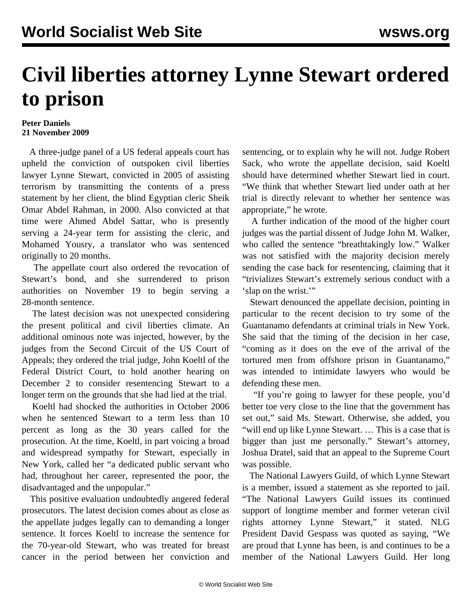## **Civil liberties attorney Lynne Stewart ordered to prison**

## **Peter Daniels 21 November 2009**

 A three-judge panel of a US federal appeals court has upheld the conviction of outspoken civil liberties lawyer Lynne Stewart, convicted in 2005 of assisting terrorism by transmitting the contents of a press statement by her client, the blind Egyptian cleric Sheik Omar Abdel Rahman, in 2000. Also convicted at that time were Ahmed Abdel Sattar, who is presently serving a 24-year term for assisting the cleric, and Mohamed Yousry, a translator who was sentenced originally to 20 months.

 The appellate court also ordered the revocation of Stewart's bond, and she surrendered to prison authorities on November 19 to begin serving a 28-month sentence.

 The latest decision was not unexpected considering the present political and civil liberties climate. An additional ominous note was injected, however, by the judges from the Second Circuit of the US Court of Appeals; they ordered the trial judge, John Koeltl of the Federal District Court, to hold another hearing on December 2 to consider resentencing Stewart to a longer term on the grounds that she had lied at the trial.

 Koeltl had shocked the authorities in October 2006 when he sentenced Stewart to a term less than 10 percent as long as the 30 years called for the prosecution. At the time, Koeltl, in part voicing a broad and widespread sympathy for Stewart, especially in New York, called her "a dedicated public servant who had, throughout her career, represented the poor, the disadvantaged and the unpopular."

 This positive evaluation undoubtedly angered federal prosecutors. The latest decision comes about as close as the appellate judges legally can to demanding a longer sentence. It forces Koeltl to increase the sentence for the 70-year-old Stewart, who was treated for breast cancer in the period between her conviction and

sentencing, or to explain why he will not. Judge Robert Sack, who wrote the appellate decision, said Koeltl should have determined whether Stewart lied in court. "We think that whether Stewart lied under oath at her trial is directly relevant to whether her sentence was appropriate," he wrote.

 A further indication of the mood of the higher court judges was the partial dissent of Judge John M. Walker, who called the sentence "breathtakingly low." Walker was not satisfied with the majority decision merely sending the case back for resentencing, claiming that it "trivializes Stewart's extremely serious conduct with a 'slap on the wrist."

 Stewart denounced the appellate decision, pointing in particular to the recent decision to try some of the Guantanamo defendants at criminal trials in New York. She said that the timing of the decision in her case, "coming as it does on the eve of the arrival of the tortured men from offshore prison in Guantanamo," was intended to intimidate lawyers who would be defending these men.

 "If you're going to lawyer for these people, you'd better toe very close to the line that the government has set out," said Ms. Stewart. Otherwise, she added, you "will end up like Lynne Stewart. … This is a case that is bigger than just me personally." Stewart's attorney, Joshua Dratel, said that an appeal to the Supreme Court was possible.

 The National Lawyers Guild, of which Lynne Stewart is a member, issued a statement as she reported to jail. "The National Lawyers Guild issues its continued support of longtime member and former veteran civil rights attorney Lynne Stewart," it stated. NLG President David Gespass was quoted as saying, "We are proud that Lynne has been, is and continues to be a member of the National Lawyers Guild. Her long